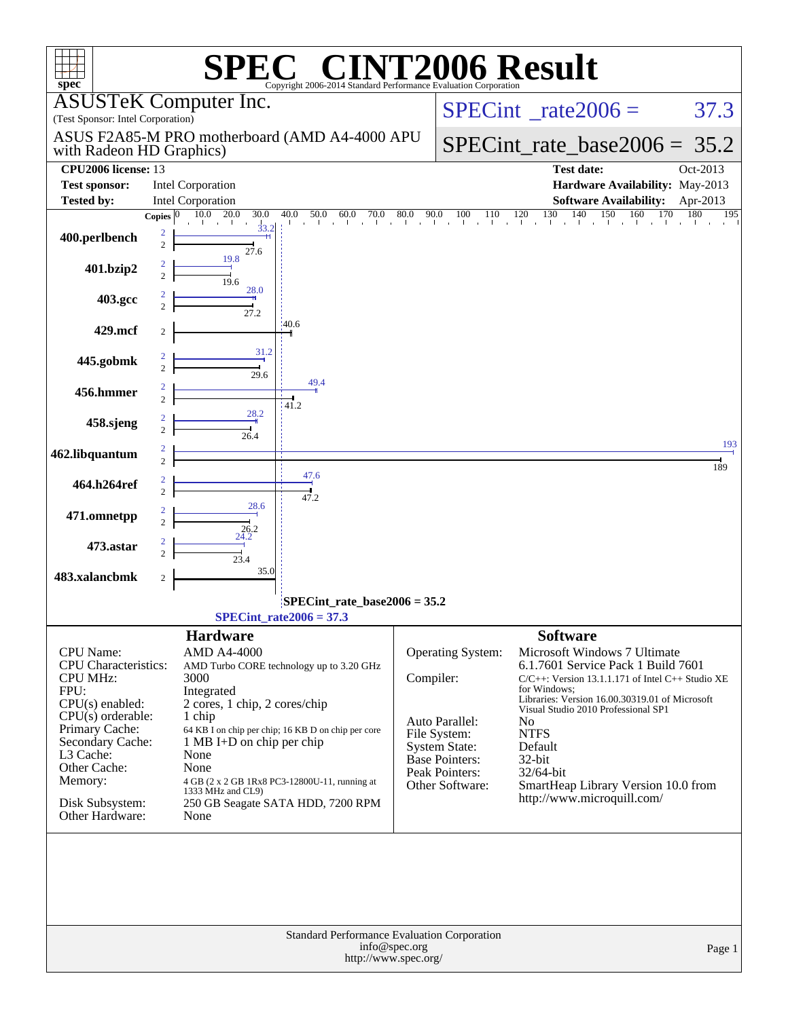| <b>T2006 Result</b><br>$\circledR$<br>spec <sup>®</sup><br>Copyright 2006-2014 Standard Performance Evaluation Corporation |                       |                                                                    |                                                    |               |                                        |                                                                                       |            |
|----------------------------------------------------------------------------------------------------------------------------|-----------------------|--------------------------------------------------------------------|----------------------------------------------------|---------------|----------------------------------------|---------------------------------------------------------------------------------------|------------|
| (Test Sponsor: Intel Corporation)                                                                                          |                       | <b>ASUSTeK Computer Inc.</b>                                       |                                                    |               |                                        | $SPECint^{\circ}$ <sub>_rate2006</sub> =                                              | 37.3       |
| ASUS F2A85-M PRO motherboard (AMD A4-4000 APU<br>with Radeon HD Graphics)                                                  |                       |                                                                    |                                                    |               |                                        | $SPECint_rate_base2006 = 35.2$                                                        |            |
| <b>CPU2006</b> license: 13                                                                                                 |                       |                                                                    |                                                    |               |                                        | <b>Test date:</b>                                                                     | Oct-2013   |
| <b>Test sponsor:</b>                                                                                                       |                       | <b>Intel Corporation</b>                                           |                                                    |               |                                        | Hardware Availability: May-2013                                                       |            |
| <b>Tested by:</b>                                                                                                          |                       | <b>Intel Corporation</b>                                           |                                                    |               |                                        | Software Availability: Apr-2013                                                       |            |
|                                                                                                                            | Copies $\overline{0}$ | $\overline{10.0}$ 20.0<br>30.0                                     | 40.0                                               |               |                                        | 140<br>150                                                                            | 195<br>180 |
| 400.perlbench                                                                                                              | 2<br>$\overline{c}$   | $1 - i - 1 - i$<br>$\frac{1}{33.2}$<br>27.6                        |                                                    |               |                                        |                                                                                       |            |
| 401.bzip2                                                                                                                  | $\overline{c}$        | 19.8<br>19.6                                                       |                                                    |               |                                        |                                                                                       |            |
| 403.gcc                                                                                                                    |                       | 28.0<br>27.2                                                       |                                                    |               |                                        |                                                                                       |            |
| 429.mcf                                                                                                                    |                       |                                                                    | 40.6                                               |               |                                        |                                                                                       |            |
| 445.gobmk                                                                                                                  | $\overline{c}$        | 31.2<br>29.6                                                       | 49.4                                               |               |                                        |                                                                                       |            |
| 456.hmmer                                                                                                                  | $\overline{2}$        | 28.2                                                               | 41.2                                               |               |                                        |                                                                                       |            |
| 458.sjeng                                                                                                                  |                       | 26.4                                                               |                                                    |               |                                        |                                                                                       | 193        |
| 462.libquantum                                                                                                             | $\overline{c}$        |                                                                    | 47.6                                               |               |                                        |                                                                                       | 189        |
| 464.h264ref                                                                                                                |                       | 28.6                                                               | 47.2                                               |               |                                        |                                                                                       |            |
| 471.omnetpp                                                                                                                |                       | 26.2                                                               |                                                    |               |                                        |                                                                                       |            |
| 473.astar                                                                                                                  |                       | 23.4<br>35.0                                                       |                                                    |               |                                        |                                                                                       |            |
| 483.xalancbmk                                                                                                              | 2                     |                                                                    |                                                    |               |                                        |                                                                                       |            |
|                                                                                                                            |                       |                                                                    | SPECint_rate_base2006 = 35.2                       |               |                                        |                                                                                       |            |
|                                                                                                                            |                       |                                                                    | $SPECTnt_rate2006 = 37.3$                          |               |                                        |                                                                                       |            |
|                                                                                                                            |                       |                                                                    |                                                    |               |                                        |                                                                                       |            |
| CPU Name:<br>CPU Characteristics:                                                                                          |                       | <b>Hardware</b><br><b>AMD A4-4000</b>                              | AMD Turbo CORE technology up to 3.20 GHz           |               | Operating System:                      | <b>Software</b><br>Microsoft Windows 7 Ultimate<br>6.1.7601 Service Pack 1 Build 7601 |            |
| <b>CPU MHz:</b>                                                                                                            |                       | 3000                                                               |                                                    | Compiler:     |                                        | $C/C++$ : Version 13.1.1.171 of Intel $C++$ Studio XE                                 |            |
| FPU:                                                                                                                       |                       | Integrated                                                         |                                                    |               |                                        | for Windows:<br>Libraries: Version 16.00.30319.01 of Microsoft                        |            |
| $CPU(s)$ enabled:                                                                                                          |                       | 2 cores, 1 chip, 2 cores/chip                                      |                                                    |               |                                        | Visual Studio 2010 Professional SP1                                                   |            |
| $CPU(s)$ orderable:<br>Primary Cache:                                                                                      |                       | 1 chip                                                             | 64 KB I on chip per chip; 16 KB D on chip per core |               | Auto Parallel:                         | N <sub>0</sub>                                                                        |            |
| Secondary Cache:                                                                                                           |                       | $1 \text{ MB I+D}$ on chip per chip                                |                                                    |               | File System:                           | <b>NTFS</b>                                                                           |            |
| L3 Cache:                                                                                                                  |                       | None                                                               |                                                    |               | <b>System State:</b><br>Base Pointers: | Default<br>32-bit                                                                     |            |
| Other Cache:                                                                                                               |                       | None                                                               |                                                    |               | Peak Pointers:                         | 32/64-bit                                                                             |            |
| Memory:                                                                                                                    |                       | 4 GB (2 x 2 GB 1Rx8 PC3-12800U-11, running at<br>1333 MHz and CL9) |                                                    |               | Other Software:                        | SmartHeap Library Version 10.0 from                                                   |            |
| Disk Subsystem:<br>Other Hardware:                                                                                         |                       | None                                                               | 250 GB Seagate SATA HDD, 7200 RPM                  |               |                                        | http://www.microquill.com/                                                            |            |
|                                                                                                                            |                       |                                                                    | <b>Standard Performance Evaluation Corporation</b> |               |                                        |                                                                                       |            |
|                                                                                                                            |                       |                                                                    | http://www.spec.org/                               | info@spec.org |                                        |                                                                                       | Page 1     |
|                                                                                                                            |                       |                                                                    |                                                    |               |                                        |                                                                                       |            |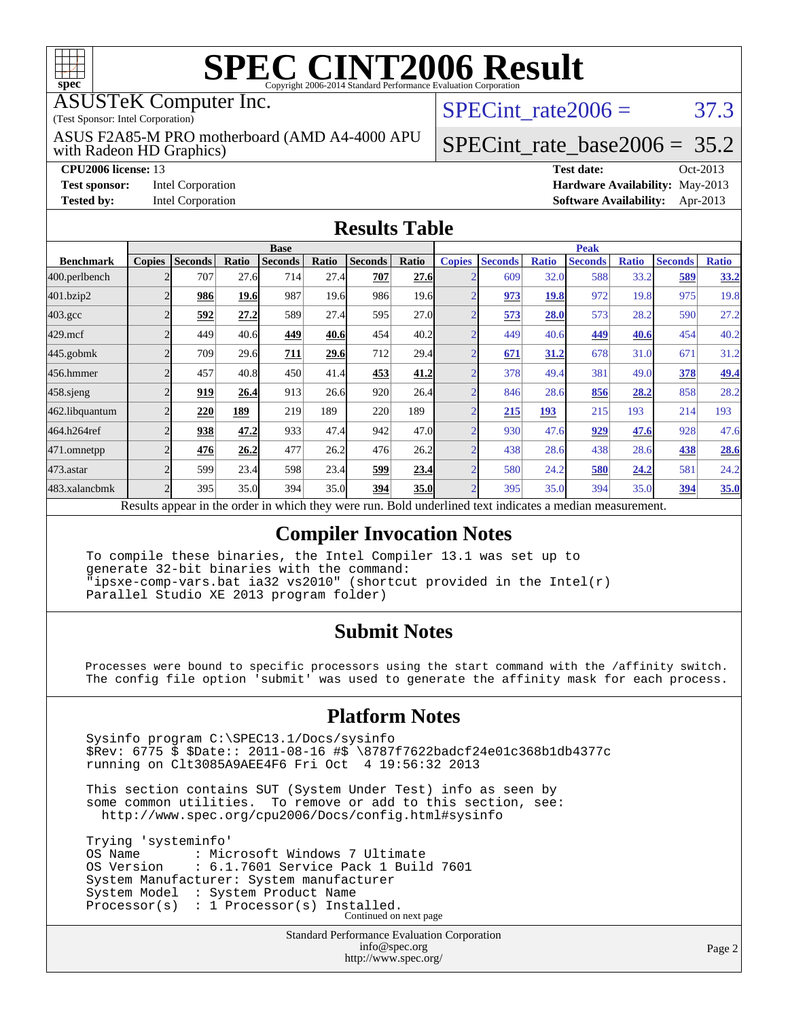

### ASUSTeK Computer Inc.

(Test Sponsor: Intel Corporation)

with Radeon HD Graphics) ASUS F2A85-M PRO motherboard (AMD A4-4000 APU SPECint rate  $2006 = 37.3$ 

# [SPECint\\_rate\\_base2006 =](http://www.spec.org/auto/cpu2006/Docs/result-fields.html#SPECintratebase2006) 35.2

**[CPU2006 license:](http://www.spec.org/auto/cpu2006/Docs/result-fields.html#CPU2006license)** 13 **[Test date:](http://www.spec.org/auto/cpu2006/Docs/result-fields.html#Testdate)** Oct-2013 **[Test sponsor:](http://www.spec.org/auto/cpu2006/Docs/result-fields.html#Testsponsor)** Intel Corporation **[Hardware Availability:](http://www.spec.org/auto/cpu2006/Docs/result-fields.html#HardwareAvailability)** May-2013 **[Tested by:](http://www.spec.org/auto/cpu2006/Docs/result-fields.html#Testedby)** Intel Corporation **[Software Availability:](http://www.spec.org/auto/cpu2006/Docs/result-fields.html#SoftwareAvailability)** Apr-2013

### **[Results Table](http://www.spec.org/auto/cpu2006/Docs/result-fields.html#ResultsTable)**

|                                                                                                                                                                      | <b>Base</b>   |                |              |                |       |                |       | <b>Peak</b>   |                |              |                |              |                |              |
|----------------------------------------------------------------------------------------------------------------------------------------------------------------------|---------------|----------------|--------------|----------------|-------|----------------|-------|---------------|----------------|--------------|----------------|--------------|----------------|--------------|
| <b>Benchmark</b>                                                                                                                                                     | <b>Copies</b> | <b>Seconds</b> | <b>Ratio</b> | <b>Seconds</b> | Ratio | <b>Seconds</b> | Ratio | <b>Copies</b> | <b>Seconds</b> | <b>Ratio</b> | <b>Seconds</b> | <b>Ratio</b> | <b>Seconds</b> | <b>Ratio</b> |
| 400.perlbench                                                                                                                                                        |               | 707            | 27.6         | 714            | 27.4  | 707            | 27.6  |               | 609            | 32.0         | 588            | 33.2         | 589            | 33.2         |
| 401.bzip2                                                                                                                                                            |               | 986            | 19.6         | 987            | 19.6  | 986            | 19.6  |               | 973            | 19.8         | 972            | 19.8         | 975            | 19.8         |
| $403.\mathrm{gcc}$                                                                                                                                                   |               | 592            | 27.2         | 589            | 27.4  | 595            | 27.0  |               | 573            | 28.0         | 573            | 28.2         | 590            | 27.2         |
| $429$ .mcf                                                                                                                                                           |               | 449            | 40.6         | 449            | 40.6  | 454            | 40.2  | $\sqrt{2}$    | 449            | 40.6         | 449            | 40.6         | 454            | 40.2         |
| $445$ .gobmk                                                                                                                                                         |               | 709            | 29.6         | 711            | 29.6  | 712            | 29.4  | n             | 671            | 31.2         | 678            | 31.0         | 671            | 31.2         |
| 456.hmmer                                                                                                                                                            |               | 457            | 40.8         | 450            | 41.4  | 453            | 41.2  |               | 378            | 49.4         | 381            | 49.0         | 378            | 49.4         |
| $458$ .sjeng                                                                                                                                                         |               | 919            | 26.4         | 913            | 26.6  | 920            | 26.4  | ◠             | 846            | 28.6         | 856            | 28.2         | 858            | 28.2         |
| 462.libquantum                                                                                                                                                       |               | 220            | <u>189</u>   | 219            | 189   | 220            | 189   |               | 215            | 193          | 215            | 193          | 214            | 193          |
| 464.h264ref                                                                                                                                                          |               | 938            | 47.2         | 933            | 47.4  | 942            | 47.0  |               | 930            | 47.6         | 929            | 47.6         | 928            | 47.6         |
| 471.omnetpp                                                                                                                                                          |               | 476            | 26.2         | 477            | 26.2  | 476            | 26.2  |               | 438            | 28.6         | 438            | 28.6         | 438            | 28.6         |
| $473$ . astar                                                                                                                                                        |               | 599            | 23.4         | 598            | 23.4  | 599            | 23.4  | ⌒             | 580            | 24.2         | 580            | 24.2         | 581            | 24.2         |
| 483.xalancbmk                                                                                                                                                        |               | 395            | 35.0         | 394            | 35.0  | 394            | 35.0  | n             | 395            | 35.0         | 394            | 35.0         | 394            | 35.0         |
| Dald and authority of the chinese in disorders.<br>Describe announced in the conduction colorado theory corner more<br>فتحاميه والمستحدث والمتحدث المحافظ والمتحدثات |               |                |              |                |       |                |       |               |                |              |                |              |                |              |

Results appear in the [order in which they were run.](http://www.spec.org/auto/cpu2006/Docs/result-fields.html#RunOrder) Bold underlined text [indicates a median measurement.](http://www.spec.org/auto/cpu2006/Docs/result-fields.html#Median)

### **[Compiler Invocation Notes](http://www.spec.org/auto/cpu2006/Docs/result-fields.html#CompilerInvocationNotes)**

 To compile these binaries, the Intel Compiler 13.1 was set up to generate 32-bit binaries with the command: "ipsxe-comp-vars.bat ia32 vs2010" (shortcut provided in the Intel(r) Parallel Studio XE 2013 program folder)

### **[Submit Notes](http://www.spec.org/auto/cpu2006/Docs/result-fields.html#SubmitNotes)**

 Processes were bound to specific processors using the start command with the /affinity switch. The config file option 'submit' was used to generate the affinity mask for each process.

### **[Platform Notes](http://www.spec.org/auto/cpu2006/Docs/result-fields.html#PlatformNotes)**

 Sysinfo program C:\SPEC13.1/Docs/sysinfo \$Rev: 6775 \$ \$Date:: 2011-08-16 #\$ \8787f7622badcf24e01c368b1db4377c running on Clt3085A9AEE4F6 Fri Oct 4 19:56:32 2013

 This section contains SUT (System Under Test) info as seen by some common utilities. To remove or add to this section, see: <http://www.spec.org/cpu2006/Docs/config.html#sysinfo>

 Trying 'systeminfo' OS Name : Microsoft Windows 7 Ultimate<br>OS Version : 6.1.7601 Service Pack 1 Buile : 6.1.7601 Service Pack 1 Build 7601 System Manufacturer: System manufacturer System Model : System Product Name Processor(s) : 1 Processor(s) Installed. Continued on next page

> Standard Performance Evaluation Corporation [info@spec.org](mailto:info@spec.org) <http://www.spec.org/>

Page 2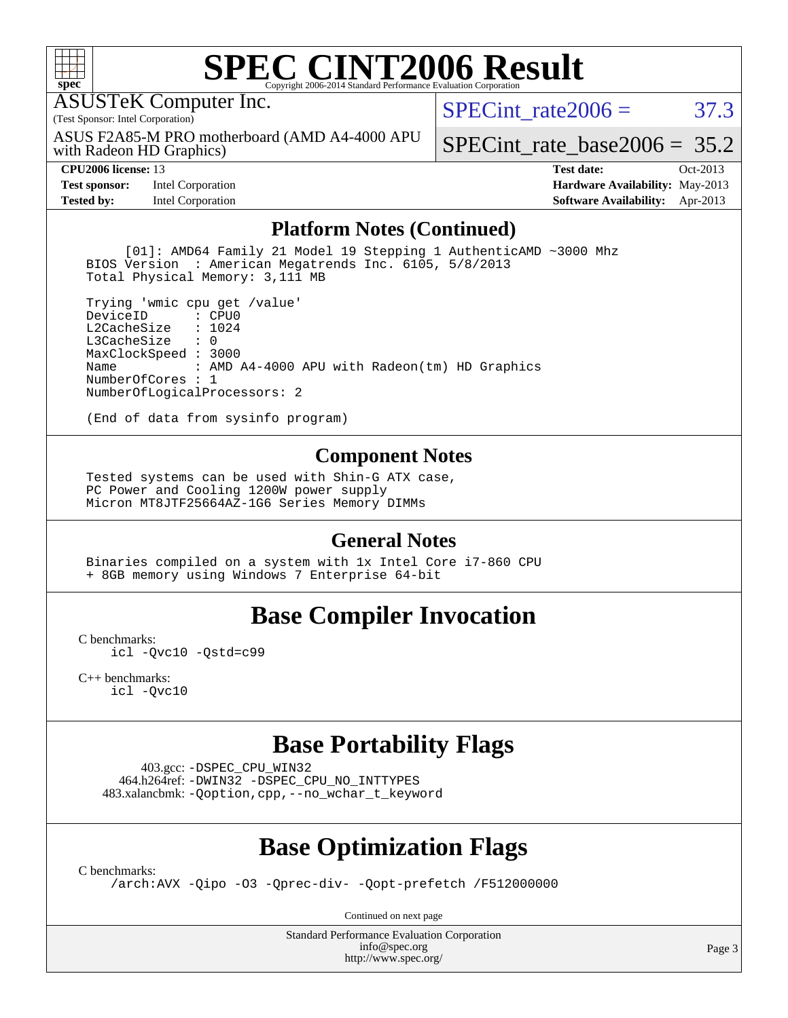

ASUSTeK Computer Inc.

(Test Sponsor: Intel Corporation)

with Radeon HD Graphics) ASUS F2A85-M PRO motherboard (AMD A4-4000 APU SPECint rate  $2006 = 37.3$ 

[SPECint\\_rate\\_base2006 =](http://www.spec.org/auto/cpu2006/Docs/result-fields.html#SPECintratebase2006) 35.2

**[Test sponsor:](http://www.spec.org/auto/cpu2006/Docs/result-fields.html#Testsponsor)** Intel Corporation **[Hardware Availability:](http://www.spec.org/auto/cpu2006/Docs/result-fields.html#HardwareAvailability)** May-2013

**[CPU2006 license:](http://www.spec.org/auto/cpu2006/Docs/result-fields.html#CPU2006license)** 13 **[Test date:](http://www.spec.org/auto/cpu2006/Docs/result-fields.html#Testdate)** Oct-2013 **[Tested by:](http://www.spec.org/auto/cpu2006/Docs/result-fields.html#Testedby)** Intel Corporation **[Software Availability:](http://www.spec.org/auto/cpu2006/Docs/result-fields.html#SoftwareAvailability)** Apr-2013

### **[Platform Notes \(Continued\)](http://www.spec.org/auto/cpu2006/Docs/result-fields.html#PlatformNotes)**

 [01]: AMD64 Family 21 Model 19 Stepping 1 AuthenticAMD ~3000 Mhz BIOS Version : American Megatrends Inc. 6105, 5/8/2013 Total Physical Memory: 3,111 MB

 Trying 'wmic cpu get /value' DeviceID L2CacheSize : 1024<br>L3CacheSize : 0  $L3$ Cache $Size$  MaxClockSpeed : 3000 Name : AMD A4-4000 APU with Radeon(tm) HD Graphics NumberOfCores : 1 NumberOfLogicalProcessors: 2

(End of data from sysinfo program)

### **[Component Notes](http://www.spec.org/auto/cpu2006/Docs/result-fields.html#ComponentNotes)**

 Tested systems can be used with Shin-G ATX case, PC Power and Cooling 1200W power supply Micron MT8JTF25664AZ-1G6 Series Memory DIMMs

### **[General Notes](http://www.spec.org/auto/cpu2006/Docs/result-fields.html#GeneralNotes)**

 Binaries compiled on a system with 1x Intel Core i7-860 CPU + 8GB memory using Windows 7 Enterprise 64-bit

### **[Base Compiler Invocation](http://www.spec.org/auto/cpu2006/Docs/result-fields.html#BaseCompilerInvocation)**

[C benchmarks](http://www.spec.org/auto/cpu2006/Docs/result-fields.html#Cbenchmarks): [icl -Qvc10](http://www.spec.org/cpu2006/results/res2014q3/cpu2006-20140630-30086.flags.html#user_CCbase_intel_icc_vc10_9607f3ecbcdf68042245f068e51b40c1) [-Qstd=c99](http://www.spec.org/cpu2006/results/res2014q3/cpu2006-20140630-30086.flags.html#user_CCbase_intel_compiler_c99_mode_1a3d110e3041b3ad4466830521bdad2a)

[C++ benchmarks:](http://www.spec.org/auto/cpu2006/Docs/result-fields.html#CXXbenchmarks) [icl -Qvc10](http://www.spec.org/cpu2006/results/res2014q3/cpu2006-20140630-30086.flags.html#user_CXXbase_intel_icc_vc10_9607f3ecbcdf68042245f068e51b40c1)

### **[Base Portability Flags](http://www.spec.org/auto/cpu2006/Docs/result-fields.html#BasePortabilityFlags)**

 403.gcc: [-DSPEC\\_CPU\\_WIN32](http://www.spec.org/cpu2006/results/res2014q3/cpu2006-20140630-30086.flags.html#b403.gcc_baseCPORTABILITY_DSPEC_CPU_WIN32) 464.h264ref: [-DWIN32](http://www.spec.org/cpu2006/results/res2014q3/cpu2006-20140630-30086.flags.html#b464.h264ref_baseCPORTABILITY_DWIN32) [-DSPEC\\_CPU\\_NO\\_INTTYPES](http://www.spec.org/cpu2006/results/res2014q3/cpu2006-20140630-30086.flags.html#b464.h264ref_baseCPORTABILITY_DSPEC_CPU_NO_INTTYPES) 483.xalancbmk: [-Qoption,cpp,--no\\_wchar\\_t\\_keyword](http://www.spec.org/cpu2006/results/res2014q3/cpu2006-20140630-30086.flags.html#user_baseCXXPORTABILITY483_xalancbmk_f-no_wchar_t_keyword_ec0ad4495a16b4e858bfcb29d949d25d)

# **[Base Optimization Flags](http://www.spec.org/auto/cpu2006/Docs/result-fields.html#BaseOptimizationFlags)**

[C benchmarks](http://www.spec.org/auto/cpu2006/Docs/result-fields.html#Cbenchmarks):

[/arch:AVX](http://www.spec.org/cpu2006/results/res2014q3/cpu2006-20140630-30086.flags.html#user_CCbase_f-archAVX_e8ab52e15dc7c67e0682fc680b79ed94) [-Qipo](http://www.spec.org/cpu2006/results/res2014q3/cpu2006-20140630-30086.flags.html#user_CCbase_f-Qipo) [-O3](http://www.spec.org/cpu2006/results/res2014q3/cpu2006-20140630-30086.flags.html#user_CCbase_f-O3) [-Qprec-div-](http://www.spec.org/cpu2006/results/res2014q3/cpu2006-20140630-30086.flags.html#user_CCbase_f-Qprec-div-) [-Qopt-prefetch](http://www.spec.org/cpu2006/results/res2014q3/cpu2006-20140630-30086.flags.html#user_CCbase_f-Qprefetch_37c211608666b9dff9380561f602f0a8) [/F512000000](http://www.spec.org/cpu2006/results/res2014q3/cpu2006-20140630-30086.flags.html#user_CCbase_set_stack_space_98438a10eb60aa5f35f4c79d9b9b27b1)

Continued on next page

Standard Performance Evaluation Corporation [info@spec.org](mailto:info@spec.org) <http://www.spec.org/>

Page 3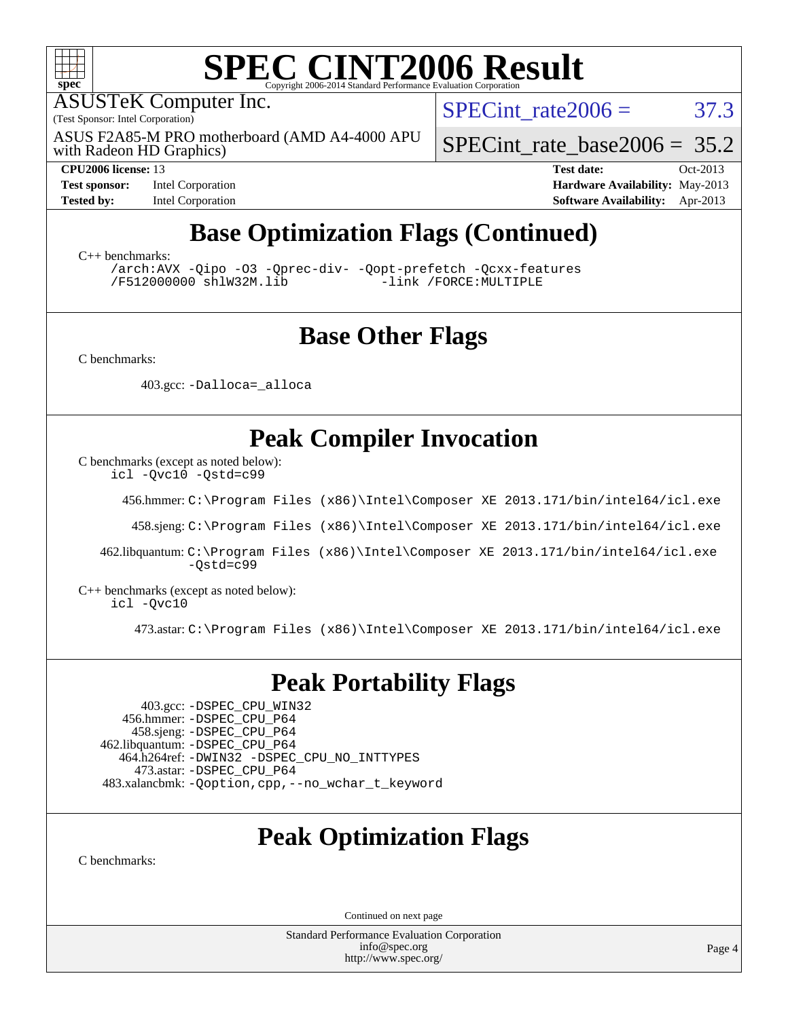

ASUSTeK Computer Inc.

(Test Sponsor: Intel Corporation)

with Radeon HD Graphics) ASUS F2A85-M PRO motherboard (AMD A4-4000 APU SPECint rate  $2006 = 37.3$ 

[SPECint\\_rate\\_base2006 =](http://www.spec.org/auto/cpu2006/Docs/result-fields.html#SPECintratebase2006) 35.2

**[Test sponsor:](http://www.spec.org/auto/cpu2006/Docs/result-fields.html#Testsponsor)** Intel Corporation **[Hardware Availability:](http://www.spec.org/auto/cpu2006/Docs/result-fields.html#HardwareAvailability)** May-2013

**[CPU2006 license:](http://www.spec.org/auto/cpu2006/Docs/result-fields.html#CPU2006license)** 13 **[Test date:](http://www.spec.org/auto/cpu2006/Docs/result-fields.html#Testdate)** Oct-2013 [Tested by:](http://www.spec.org/auto/cpu2006/Docs/result-fields.html#Testedby) Intel Corporation **[Software Availability:](http://www.spec.org/auto/cpu2006/Docs/result-fields.html#SoftwareAvailability)** Apr-2013

# **[Base Optimization Flags \(Continued\)](http://www.spec.org/auto/cpu2006/Docs/result-fields.html#BaseOptimizationFlags)**

[C++ benchmarks:](http://www.spec.org/auto/cpu2006/Docs/result-fields.html#CXXbenchmarks)

[/arch:AVX](http://www.spec.org/cpu2006/results/res2014q3/cpu2006-20140630-30086.flags.html#user_CXXbase_f-archAVX_e8ab52e15dc7c67e0682fc680b79ed94) [-Qipo](http://www.spec.org/cpu2006/results/res2014q3/cpu2006-20140630-30086.flags.html#user_CXXbase_f-Qipo) [-O3](http://www.spec.org/cpu2006/results/res2014q3/cpu2006-20140630-30086.flags.html#user_CXXbase_f-O3) [-Qprec-div-](http://www.spec.org/cpu2006/results/res2014q3/cpu2006-20140630-30086.flags.html#user_CXXbase_f-Qprec-div-) [-Qopt-prefetch](http://www.spec.org/cpu2006/results/res2014q3/cpu2006-20140630-30086.flags.html#user_CXXbase_f-Qprefetch_37c211608666b9dff9380561f602f0a8) [-Qcxx-features](http://www.spec.org/cpu2006/results/res2014q3/cpu2006-20140630-30086.flags.html#user_CXXbase_f-Qcxx_features_dbf36c8a6dba956e22f1645e4dcd4d98) [/F512000000](http://www.spec.org/cpu2006/results/res2014q3/cpu2006-20140630-30086.flags.html#user_CXXbase_set_stack_space_98438a10eb60aa5f35f4c79d9b9b27b1) [shlW32M.lib](http://www.spec.org/cpu2006/results/res2014q3/cpu2006-20140630-30086.flags.html#user_CXXbase_SmartHeap32_d106338dfda1a055705c9b519e07f096)

## **[Base Other Flags](http://www.spec.org/auto/cpu2006/Docs/result-fields.html#BaseOtherFlags)**

[C benchmarks](http://www.spec.org/auto/cpu2006/Docs/result-fields.html#Cbenchmarks):

403.gcc: [-Dalloca=\\_alloca](http://www.spec.org/cpu2006/results/res2014q3/cpu2006-20140630-30086.flags.html#b403.gcc_baseEXTRA_CFLAGS_Dalloca_be3056838c12de2578596ca5467af7f3)

## **[Peak Compiler Invocation](http://www.spec.org/auto/cpu2006/Docs/result-fields.html#PeakCompilerInvocation)**

[C benchmarks \(except as noted below\)](http://www.spec.org/auto/cpu2006/Docs/result-fields.html#Cbenchmarksexceptasnotedbelow):

[icl -Qvc10](http://www.spec.org/cpu2006/results/res2014q3/cpu2006-20140630-30086.flags.html#user_CCpeak_intel_icc_vc10_9607f3ecbcdf68042245f068e51b40c1) [-Qstd=c99](http://www.spec.org/cpu2006/results/res2014q3/cpu2006-20140630-30086.flags.html#user_CCpeak_intel_compiler_c99_mode_1a3d110e3041b3ad4466830521bdad2a)

456.hmmer: [C:\Program Files \(x86\)\Intel\Composer XE 2013.171/bin/intel64/icl.exe](http://www.spec.org/cpu2006/results/res2014q3/cpu2006-20140630-30086.flags.html#user_peakCCLD456_hmmer_intel_icc_64bit_a47adb23ffeeb40a4c72a454746f326c)

458.sjeng: [C:\Program Files \(x86\)\Intel\Composer XE 2013.171/bin/intel64/icl.exe](http://www.spec.org/cpu2006/results/res2014q3/cpu2006-20140630-30086.flags.html#user_peakCCLD458_sjeng_intel_icc_64bit_a47adb23ffeeb40a4c72a454746f326c)

 462.libquantum: [C:\Program Files \(x86\)\Intel\Composer XE 2013.171/bin/intel64/icl.exe](http://www.spec.org/cpu2006/results/res2014q3/cpu2006-20140630-30086.flags.html#user_peakCCLD462_libquantum_intel_icc_64bit_a47adb23ffeeb40a4c72a454746f326c) [-Qstd=c99](http://www.spec.org/cpu2006/results/res2014q3/cpu2006-20140630-30086.flags.html#user_peakCCLD462_libquantum_intel_compiler_c99_mode_1a3d110e3041b3ad4466830521bdad2a)

[C++ benchmarks \(except as noted below\):](http://www.spec.org/auto/cpu2006/Docs/result-fields.html#CXXbenchmarksexceptasnotedbelow) [icl -Qvc10](http://www.spec.org/cpu2006/results/res2014q3/cpu2006-20140630-30086.flags.html#user_CXXpeak_intel_icc_vc10_9607f3ecbcdf68042245f068e51b40c1)

473.astar: [C:\Program Files \(x86\)\Intel\Composer XE 2013.171/bin/intel64/icl.exe](http://www.spec.org/cpu2006/results/res2014q3/cpu2006-20140630-30086.flags.html#user_peakCXXLD473_astar_intel_icc_64bit_a47adb23ffeeb40a4c72a454746f326c)

### **[Peak Portability Flags](http://www.spec.org/auto/cpu2006/Docs/result-fields.html#PeakPortabilityFlags)**

 403.gcc: [-DSPEC\\_CPU\\_WIN32](http://www.spec.org/cpu2006/results/res2014q3/cpu2006-20140630-30086.flags.html#b403.gcc_peakCPORTABILITY_DSPEC_CPU_WIN32) 456.hmmer: [-DSPEC\\_CPU\\_P64](http://www.spec.org/cpu2006/results/res2014q3/cpu2006-20140630-30086.flags.html#suite_peakPORTABILITY456_hmmer_DSPEC_CPU_P64) 458.sjeng: [-DSPEC\\_CPU\\_P64](http://www.spec.org/cpu2006/results/res2014q3/cpu2006-20140630-30086.flags.html#suite_peakPORTABILITY458_sjeng_DSPEC_CPU_P64) 462.libquantum: [-DSPEC\\_CPU\\_P64](http://www.spec.org/cpu2006/results/res2014q3/cpu2006-20140630-30086.flags.html#suite_peakPORTABILITY462_libquantum_DSPEC_CPU_P64) 464.h264ref: [-DWIN32](http://www.spec.org/cpu2006/results/res2014q3/cpu2006-20140630-30086.flags.html#b464.h264ref_peakCPORTABILITY_DWIN32) [-DSPEC\\_CPU\\_NO\\_INTTYPES](http://www.spec.org/cpu2006/results/res2014q3/cpu2006-20140630-30086.flags.html#b464.h264ref_peakCPORTABILITY_DSPEC_CPU_NO_INTTYPES) 473.astar: [-DSPEC\\_CPU\\_P64](http://www.spec.org/cpu2006/results/res2014q3/cpu2006-20140630-30086.flags.html#suite_peakPORTABILITY473_astar_DSPEC_CPU_P64) 483.xalancbmk: [-Qoption,cpp,--no\\_wchar\\_t\\_keyword](http://www.spec.org/cpu2006/results/res2014q3/cpu2006-20140630-30086.flags.html#user_peakCXXPORTABILITY483_xalancbmk_f-no_wchar_t_keyword_ec0ad4495a16b4e858bfcb29d949d25d)

# **[Peak Optimization Flags](http://www.spec.org/auto/cpu2006/Docs/result-fields.html#PeakOptimizationFlags)**

[C benchmarks](http://www.spec.org/auto/cpu2006/Docs/result-fields.html#Cbenchmarks):

Continued on next page

Standard Performance Evaluation Corporation [info@spec.org](mailto:info@spec.org) <http://www.spec.org/>

Page 4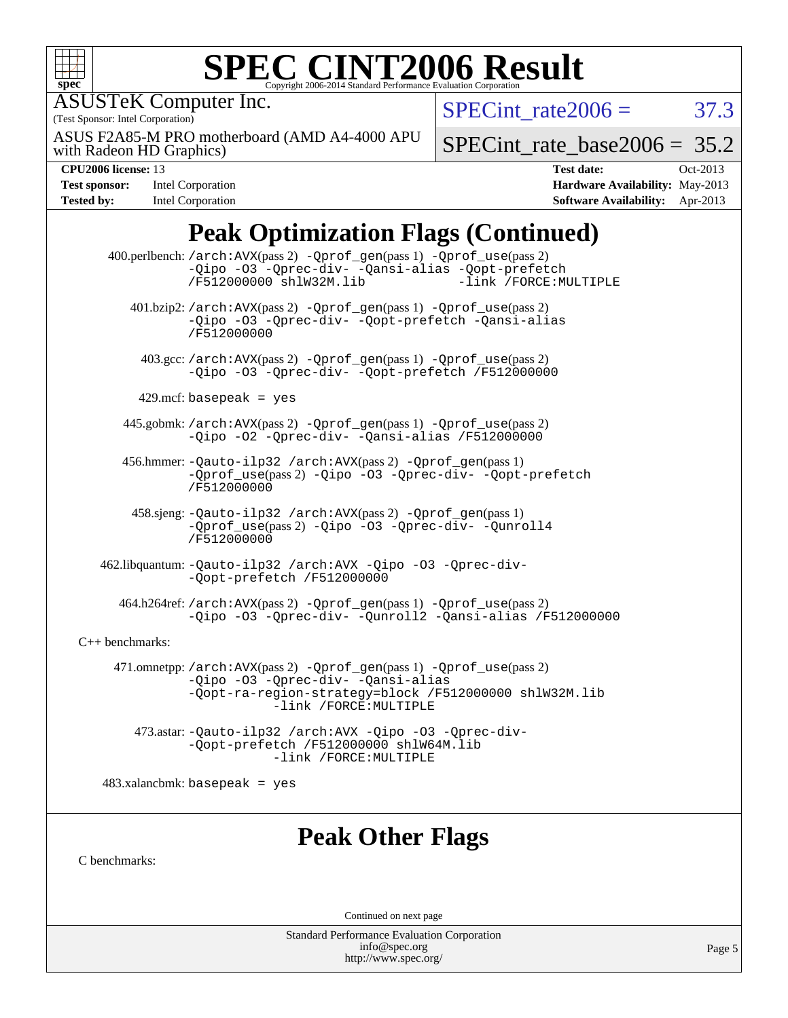

### **[SPEC CINT2006 Result](http://www.spec.org/auto/cpu2006/Docs/result-fields.html#SPECCINT2006Result)** Copyright 2006-2014 Standard Performance Evaluation C

ASUSTeK Computer Inc.

(Test Sponsor: Intel Corporation)

with Radeon HD Graphics) ASUS F2A85-M PRO motherboard (AMD A4-4000 APU SPECint rate  $2006 = 37.3$ 

SPECint rate base2006 =  $35.2$ 

| <b>Test sponsor:</b> | Intel Corporation |
|----------------------|-------------------|
| <b>Tested by:</b>    | Intel Corporation |

**[CPU2006 license:](http://www.spec.org/auto/cpu2006/Docs/result-fields.html#CPU2006license)** 13 **[Test date:](http://www.spec.org/auto/cpu2006/Docs/result-fields.html#Testdate)** Oct-2013 **[Hardware Availability:](http://www.spec.org/auto/cpu2006/Docs/result-fields.html#HardwareAvailability)** May-2013 **[Software Availability:](http://www.spec.org/auto/cpu2006/Docs/result-fields.html#SoftwareAvailability)** Apr-2013

# **[Peak Optimization Flags \(Continued\)](http://www.spec.org/auto/cpu2006/Docs/result-fields.html#PeakOptimizationFlags)**

 400.perlbench: [/arch:AVX](http://www.spec.org/cpu2006/results/res2014q3/cpu2006-20140630-30086.flags.html#user_peakPASS2_CFLAGSPASS2_LDFLAGS400_perlbench_f-archAVX_e8ab52e15dc7c67e0682fc680b79ed94)(pass 2) [-Qprof\\_gen](http://www.spec.org/cpu2006/results/res2014q3/cpu2006-20140630-30086.flags.html#user_peakPASS1_CFLAGSPASS1_LDFLAGS400_perlbench_Qprof_gen)(pass 1) [-Qprof\\_use](http://www.spec.org/cpu2006/results/res2014q3/cpu2006-20140630-30086.flags.html#user_peakPASS2_CFLAGSPASS2_LDFLAGS400_perlbench_Qprof_use)(pass 2) [-Qipo](http://www.spec.org/cpu2006/results/res2014q3/cpu2006-20140630-30086.flags.html#user_peakOPTIMIZE400_perlbench_f-Qipo) [-O3](http://www.spec.org/cpu2006/results/res2014q3/cpu2006-20140630-30086.flags.html#user_peakOPTIMIZE400_perlbench_f-O3) [-Qprec-div-](http://www.spec.org/cpu2006/results/res2014q3/cpu2006-20140630-30086.flags.html#user_peakOPTIMIZE400_perlbench_f-Qprec-div-) [-Qansi-alias](http://www.spec.org/cpu2006/results/res2014q3/cpu2006-20140630-30086.flags.html#user_peakOPTIMIZE400_perlbench_f-Qansi-alias) [-Qopt-prefetch](http://www.spec.org/cpu2006/results/res2014q3/cpu2006-20140630-30086.flags.html#user_peakOPTIMIZE400_perlbench_f-Qprefetch_37c211608666b9dff9380561f602f0a8) [/F512000000](http://www.spec.org/cpu2006/results/res2014q3/cpu2006-20140630-30086.flags.html#user_peakEXTRA_LDFLAGS400_perlbench_set_stack_space_98438a10eb60aa5f35f4c79d9b9b27b1) [shlW32M.lib](http://www.spec.org/cpu2006/results/res2014q3/cpu2006-20140630-30086.flags.html#user_peakEXTRA_LIBS400_perlbench_SmartHeap32_d106338dfda1a055705c9b519e07f096) 401.bzip2: [/arch:AVX](http://www.spec.org/cpu2006/results/res2014q3/cpu2006-20140630-30086.flags.html#user_peakPASS2_CFLAGSPASS2_LDFLAGS401_bzip2_f-archAVX_e8ab52e15dc7c67e0682fc680b79ed94)(pass 2) [-Qprof\\_gen](http://www.spec.org/cpu2006/results/res2014q3/cpu2006-20140630-30086.flags.html#user_peakPASS1_CFLAGSPASS1_LDFLAGS401_bzip2_Qprof_gen)(pass 1) [-Qprof\\_use](http://www.spec.org/cpu2006/results/res2014q3/cpu2006-20140630-30086.flags.html#user_peakPASS2_CFLAGSPASS2_LDFLAGS401_bzip2_Qprof_use)(pass 2) [-Qipo](http://www.spec.org/cpu2006/results/res2014q3/cpu2006-20140630-30086.flags.html#user_peakOPTIMIZE401_bzip2_f-Qipo) [-O3](http://www.spec.org/cpu2006/results/res2014q3/cpu2006-20140630-30086.flags.html#user_peakOPTIMIZE401_bzip2_f-O3) [-Qprec-div-](http://www.spec.org/cpu2006/results/res2014q3/cpu2006-20140630-30086.flags.html#user_peakOPTIMIZE401_bzip2_f-Qprec-div-) [-Qopt-prefetch](http://www.spec.org/cpu2006/results/res2014q3/cpu2006-20140630-30086.flags.html#user_peakOPTIMIZE401_bzip2_f-Qprefetch_37c211608666b9dff9380561f602f0a8) [-Qansi-alias](http://www.spec.org/cpu2006/results/res2014q3/cpu2006-20140630-30086.flags.html#user_peakOPTIMIZE401_bzip2_f-Qansi-alias) [/F512000000](http://www.spec.org/cpu2006/results/res2014q3/cpu2006-20140630-30086.flags.html#user_peakEXTRA_LDFLAGS401_bzip2_set_stack_space_98438a10eb60aa5f35f4c79d9b9b27b1) 403.gcc: [/arch:AVX](http://www.spec.org/cpu2006/results/res2014q3/cpu2006-20140630-30086.flags.html#user_peakPASS2_CFLAGSPASS2_LDFLAGS403_gcc_f-archAVX_e8ab52e15dc7c67e0682fc680b79ed94)(pass 2) [-Qprof\\_gen](http://www.spec.org/cpu2006/results/res2014q3/cpu2006-20140630-30086.flags.html#user_peakPASS1_CFLAGSPASS1_LDFLAGS403_gcc_Qprof_gen)(pass 1) [-Qprof\\_use](http://www.spec.org/cpu2006/results/res2014q3/cpu2006-20140630-30086.flags.html#user_peakPASS2_CFLAGSPASS2_LDFLAGS403_gcc_Qprof_use)(pass 2) [-Qipo](http://www.spec.org/cpu2006/results/res2014q3/cpu2006-20140630-30086.flags.html#user_peakOPTIMIZE403_gcc_f-Qipo) [-O3](http://www.spec.org/cpu2006/results/res2014q3/cpu2006-20140630-30086.flags.html#user_peakOPTIMIZE403_gcc_f-O3) [-Qprec-div-](http://www.spec.org/cpu2006/results/res2014q3/cpu2006-20140630-30086.flags.html#user_peakOPTIMIZE403_gcc_f-Qprec-div-) [-Qopt-prefetch](http://www.spec.org/cpu2006/results/res2014q3/cpu2006-20140630-30086.flags.html#user_peakOPTIMIZE403_gcc_f-Qprefetch_37c211608666b9dff9380561f602f0a8) [/F512000000](http://www.spec.org/cpu2006/results/res2014q3/cpu2006-20140630-30086.flags.html#user_peakEXTRA_LDFLAGS403_gcc_set_stack_space_98438a10eb60aa5f35f4c79d9b9b27b1)  $429$ .mcf: basepeak = yes 445.gobmk: [/arch:AVX](http://www.spec.org/cpu2006/results/res2014q3/cpu2006-20140630-30086.flags.html#user_peakPASS2_CFLAGSPASS2_LDFLAGS445_gobmk_f-archAVX_e8ab52e15dc7c67e0682fc680b79ed94)(pass 2) [-Qprof\\_gen](http://www.spec.org/cpu2006/results/res2014q3/cpu2006-20140630-30086.flags.html#user_peakPASS1_CFLAGSPASS1_LDFLAGS445_gobmk_Qprof_gen)(pass 1) [-Qprof\\_use](http://www.spec.org/cpu2006/results/res2014q3/cpu2006-20140630-30086.flags.html#user_peakPASS2_CFLAGSPASS2_LDFLAGS445_gobmk_Qprof_use)(pass 2) [-Qipo](http://www.spec.org/cpu2006/results/res2014q3/cpu2006-20140630-30086.flags.html#user_peakOPTIMIZE445_gobmk_f-Qipo) [-O2](http://www.spec.org/cpu2006/results/res2014q3/cpu2006-20140630-30086.flags.html#user_peakOPTIMIZE445_gobmk_f-O2) [-Qprec-div-](http://www.spec.org/cpu2006/results/res2014q3/cpu2006-20140630-30086.flags.html#user_peakOPTIMIZE445_gobmk_f-Qprec-div-) [-Qansi-alias](http://www.spec.org/cpu2006/results/res2014q3/cpu2006-20140630-30086.flags.html#user_peakOPTIMIZE445_gobmk_f-Qansi-alias) [/F512000000](http://www.spec.org/cpu2006/results/res2014q3/cpu2006-20140630-30086.flags.html#user_peakEXTRA_LDFLAGS445_gobmk_set_stack_space_98438a10eb60aa5f35f4c79d9b9b27b1) 456.hmmer: [-Qauto-ilp32](http://www.spec.org/cpu2006/results/res2014q3/cpu2006-20140630-30086.flags.html#user_peakCCLD456_hmmer_f-Qauto-ilp32) [/arch:AVX](http://www.spec.org/cpu2006/results/res2014q3/cpu2006-20140630-30086.flags.html#user_peakPASS2_CFLAGSPASS2_LDFLAGS456_hmmer_f-archAVX_e8ab52e15dc7c67e0682fc680b79ed94)(pass 2) [-Qprof\\_gen](http://www.spec.org/cpu2006/results/res2014q3/cpu2006-20140630-30086.flags.html#user_peakPASS1_CFLAGSPASS1_LDFLAGS456_hmmer_Qprof_gen)(pass 1) [-Qprof\\_use](http://www.spec.org/cpu2006/results/res2014q3/cpu2006-20140630-30086.flags.html#user_peakPASS2_CFLAGSPASS2_LDFLAGS456_hmmer_Qprof_use)(pass 2) [-Qipo](http://www.spec.org/cpu2006/results/res2014q3/cpu2006-20140630-30086.flags.html#user_peakOPTIMIZE456_hmmer_f-Qipo) [-O3](http://www.spec.org/cpu2006/results/res2014q3/cpu2006-20140630-30086.flags.html#user_peakOPTIMIZE456_hmmer_f-O3) [-Qprec-div-](http://www.spec.org/cpu2006/results/res2014q3/cpu2006-20140630-30086.flags.html#user_peakOPTIMIZE456_hmmer_f-Qprec-div-) [-Qopt-prefetch](http://www.spec.org/cpu2006/results/res2014q3/cpu2006-20140630-30086.flags.html#user_peakOPTIMIZE456_hmmer_f-Qprefetch_37c211608666b9dff9380561f602f0a8) [/F512000000](http://www.spec.org/cpu2006/results/res2014q3/cpu2006-20140630-30086.flags.html#user_peakEXTRA_LDFLAGS456_hmmer_set_stack_space_98438a10eb60aa5f35f4c79d9b9b27b1) 458.sjeng: [-Qauto-ilp32](http://www.spec.org/cpu2006/results/res2014q3/cpu2006-20140630-30086.flags.html#user_peakCCLD458_sjeng_f-Qauto-ilp32) [/arch:AVX](http://www.spec.org/cpu2006/results/res2014q3/cpu2006-20140630-30086.flags.html#user_peakPASS2_CFLAGSPASS2_LDFLAGS458_sjeng_f-archAVX_e8ab52e15dc7c67e0682fc680b79ed94)(pass 2) [-Qprof\\_gen](http://www.spec.org/cpu2006/results/res2014q3/cpu2006-20140630-30086.flags.html#user_peakPASS1_CFLAGSPASS1_LDFLAGS458_sjeng_Qprof_gen)(pass 1) [-Qprof\\_use](http://www.spec.org/cpu2006/results/res2014q3/cpu2006-20140630-30086.flags.html#user_peakPASS2_CFLAGSPASS2_LDFLAGS458_sjeng_Qprof_use)(pass 2) [-Qipo](http://www.spec.org/cpu2006/results/res2014q3/cpu2006-20140630-30086.flags.html#user_peakOPTIMIZE458_sjeng_f-Qipo) [-O3](http://www.spec.org/cpu2006/results/res2014q3/cpu2006-20140630-30086.flags.html#user_peakOPTIMIZE458_sjeng_f-O3) [-Qprec-div-](http://www.spec.org/cpu2006/results/res2014q3/cpu2006-20140630-30086.flags.html#user_peakOPTIMIZE458_sjeng_f-Qprec-div-) [-Qunroll4](http://www.spec.org/cpu2006/results/res2014q3/cpu2006-20140630-30086.flags.html#user_peakOPTIMIZE458_sjeng_f-Qunroll_013b1c0ea3aa84ef2c65e488bcc3d968) [/F512000000](http://www.spec.org/cpu2006/results/res2014q3/cpu2006-20140630-30086.flags.html#user_peakEXTRA_LDFLAGS458_sjeng_set_stack_space_98438a10eb60aa5f35f4c79d9b9b27b1) 462.libquantum: [-Qauto-ilp32](http://www.spec.org/cpu2006/results/res2014q3/cpu2006-20140630-30086.flags.html#user_peakCCLD462_libquantum_f-Qauto-ilp32) [/arch:AVX](http://www.spec.org/cpu2006/results/res2014q3/cpu2006-20140630-30086.flags.html#user_peakOPTIMIZE462_libquantum_f-archAVX_e8ab52e15dc7c67e0682fc680b79ed94) [-Qipo](http://www.spec.org/cpu2006/results/res2014q3/cpu2006-20140630-30086.flags.html#user_peakOPTIMIZE462_libquantum_f-Qipo) [-O3](http://www.spec.org/cpu2006/results/res2014q3/cpu2006-20140630-30086.flags.html#user_peakOPTIMIZE462_libquantum_f-O3) [-Qprec-div-](http://www.spec.org/cpu2006/results/res2014q3/cpu2006-20140630-30086.flags.html#user_peakOPTIMIZE462_libquantum_f-Qprec-div-) [-Qopt-prefetch](http://www.spec.org/cpu2006/results/res2014q3/cpu2006-20140630-30086.flags.html#user_peakOPTIMIZE462_libquantum_f-Qprefetch_37c211608666b9dff9380561f602f0a8) [/F512000000](http://www.spec.org/cpu2006/results/res2014q3/cpu2006-20140630-30086.flags.html#user_peakEXTRA_LDFLAGS462_libquantum_set_stack_space_98438a10eb60aa5f35f4c79d9b9b27b1) 464.h264ref: [/arch:AVX](http://www.spec.org/cpu2006/results/res2014q3/cpu2006-20140630-30086.flags.html#user_peakPASS2_CFLAGSPASS2_LDFLAGS464_h264ref_f-archAVX_e8ab52e15dc7c67e0682fc680b79ed94)(pass 2) [-Qprof\\_gen](http://www.spec.org/cpu2006/results/res2014q3/cpu2006-20140630-30086.flags.html#user_peakPASS1_CFLAGSPASS1_LDFLAGS464_h264ref_Qprof_gen)(pass 1) [-Qprof\\_use](http://www.spec.org/cpu2006/results/res2014q3/cpu2006-20140630-30086.flags.html#user_peakPASS2_CFLAGSPASS2_LDFLAGS464_h264ref_Qprof_use)(pass 2) [-Qipo](http://www.spec.org/cpu2006/results/res2014q3/cpu2006-20140630-30086.flags.html#user_peakOPTIMIZE464_h264ref_f-Qipo) [-O3](http://www.spec.org/cpu2006/results/res2014q3/cpu2006-20140630-30086.flags.html#user_peakOPTIMIZE464_h264ref_f-O3) [-Qprec-div-](http://www.spec.org/cpu2006/results/res2014q3/cpu2006-20140630-30086.flags.html#user_peakOPTIMIZE464_h264ref_f-Qprec-div-) [-Qunroll2](http://www.spec.org/cpu2006/results/res2014q3/cpu2006-20140630-30086.flags.html#user_peakOPTIMIZE464_h264ref_f-Qunroll_1d9456aa650e77fc2a0cf43cef3fa08c) [-Qansi-alias](http://www.spec.org/cpu2006/results/res2014q3/cpu2006-20140630-30086.flags.html#user_peakOPTIMIZE464_h264ref_f-Qansi-alias) [/F512000000](http://www.spec.org/cpu2006/results/res2014q3/cpu2006-20140630-30086.flags.html#user_peakEXTRA_LDFLAGS464_h264ref_set_stack_space_98438a10eb60aa5f35f4c79d9b9b27b1) [C++ benchmarks:](http://www.spec.org/auto/cpu2006/Docs/result-fields.html#CXXbenchmarks) 471.omnetpp: [/arch:AVX](http://www.spec.org/cpu2006/results/res2014q3/cpu2006-20140630-30086.flags.html#user_peakPASS2_CXXFLAGSPASS2_LDFLAGS471_omnetpp_f-archAVX_e8ab52e15dc7c67e0682fc680b79ed94)(pass 2) [-Qprof\\_gen](http://www.spec.org/cpu2006/results/res2014q3/cpu2006-20140630-30086.flags.html#user_peakPASS1_CXXFLAGSPASS1_LDFLAGS471_omnetpp_Qprof_gen)(pass 1) [-Qprof\\_use](http://www.spec.org/cpu2006/results/res2014q3/cpu2006-20140630-30086.flags.html#user_peakPASS2_CXXFLAGSPASS2_LDFLAGS471_omnetpp_Qprof_use)(pass 2) [-Qipo](http://www.spec.org/cpu2006/results/res2014q3/cpu2006-20140630-30086.flags.html#user_peakOPTIMIZE471_omnetpp_f-Qipo) [-O3](http://www.spec.org/cpu2006/results/res2014q3/cpu2006-20140630-30086.flags.html#user_peakOPTIMIZE471_omnetpp_f-O3) [-Qprec-div-](http://www.spec.org/cpu2006/results/res2014q3/cpu2006-20140630-30086.flags.html#user_peakOPTIMIZE471_omnetpp_f-Qprec-div-) [-Qansi-alias](http://www.spec.org/cpu2006/results/res2014q3/cpu2006-20140630-30086.flags.html#user_peakOPTIMIZE471_omnetpp_f-Qansi-alias) [-Qopt-ra-region-strategy=block](http://www.spec.org/cpu2006/results/res2014q3/cpu2006-20140630-30086.flags.html#user_peakOPTIMIZE471_omnetpp_f-Qopt-ra-region-strategy_d2240e80a5d9053a1fd400255dbf4159) [/F512000000](http://www.spec.org/cpu2006/results/res2014q3/cpu2006-20140630-30086.flags.html#user_peakEXTRA_LDFLAGS471_omnetpp_set_stack_space_98438a10eb60aa5f35f4c79d9b9b27b1) [shlW32M.lib](http://www.spec.org/cpu2006/results/res2014q3/cpu2006-20140630-30086.flags.html#user_peakEXTRA_LIBS471_omnetpp_SmartHeap32_d106338dfda1a055705c9b519e07f096)  [-link /FORCE:MULTIPLE](http://www.spec.org/cpu2006/results/res2014q3/cpu2006-20140630-30086.flags.html#user_peakLDOUT471_omnetpp_link_force_multiple2_070fe330869edf77077b841074b8b0b6) 473.astar: [-Qauto-ilp32](http://www.spec.org/cpu2006/results/res2014q3/cpu2006-20140630-30086.flags.html#user_peakCXXLD473_astar_f-Qauto-ilp32) [/arch:AVX](http://www.spec.org/cpu2006/results/res2014q3/cpu2006-20140630-30086.flags.html#user_peakOPTIMIZE473_astar_f-archAVX_e8ab52e15dc7c67e0682fc680b79ed94) [-Qipo](http://www.spec.org/cpu2006/results/res2014q3/cpu2006-20140630-30086.flags.html#user_peakOPTIMIZE473_astar_f-Qipo) [-O3](http://www.spec.org/cpu2006/results/res2014q3/cpu2006-20140630-30086.flags.html#user_peakOPTIMIZE473_astar_f-O3) [-Qprec-div-](http://www.spec.org/cpu2006/results/res2014q3/cpu2006-20140630-30086.flags.html#user_peakOPTIMIZE473_astar_f-Qprec-div-) [-Qopt-prefetch](http://www.spec.org/cpu2006/results/res2014q3/cpu2006-20140630-30086.flags.html#user_peakOPTIMIZE473_astar_f-Qprefetch_37c211608666b9dff9380561f602f0a8) [/F512000000](http://www.spec.org/cpu2006/results/res2014q3/cpu2006-20140630-30086.flags.html#user_peakEXTRA_LDFLAGS473_astar_set_stack_space_98438a10eb60aa5f35f4c79d9b9b27b1) [shlW64M.lib](http://www.spec.org/cpu2006/results/res2014q3/cpu2006-20140630-30086.flags.html#user_peakEXTRA_LIBS473_astar_SmartHeap64_c4f7f76711bdf8c0633a5c1edf6e5396)  [-link /FORCE:MULTIPLE](http://www.spec.org/cpu2006/results/res2014q3/cpu2006-20140630-30086.flags.html#user_peakLDOUT473_astar_link_force_multiple2_070fe330869edf77077b841074b8b0b6)

 $483.xalanchmk: basepeak = yes$ 

# **[Peak Other Flags](http://www.spec.org/auto/cpu2006/Docs/result-fields.html#PeakOtherFlags)**

[C benchmarks](http://www.spec.org/auto/cpu2006/Docs/result-fields.html#Cbenchmarks):

Continued on next page

Standard Performance Evaluation Corporation [info@spec.org](mailto:info@spec.org) <http://www.spec.org/>